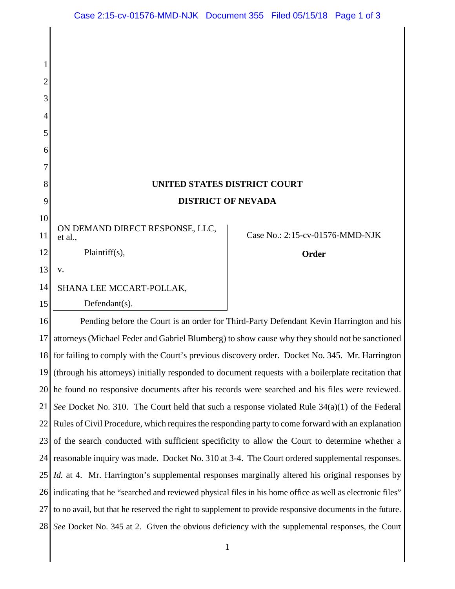| UNITED STATES DISTRICT COURT |  |
|------------------------------|--|
| <b>DISTRICT OF NEVADA</b>    |  |

11 ON DEMAND DIRECT RESPONSE, LLC, et al.,

Plaintiff(s),

13 v.

1

2

3

4

5

6

7

8

9

10

12

14 SHANA LEE MCCART-POLLAK,

15

Defendant(s).

## Case No.: 2:15-cv-01576-MMD-NJK

**Order**

16 17 18 19 20 21 22 23 24 25 26 27 28 Pending before the Court is an order for Third-Party Defendant Kevin Harrington and his attorneys (Michael Feder and Gabriel Blumberg) to show cause why they should not be sanctioned for failing to comply with the Court's previous discovery order. Docket No. 345. Mr. Harrington (through his attorneys) initially responded to document requests with a boilerplate recitation that he found no responsive documents after his records were searched and his files were reviewed. *See* Docket No. 310. The Court held that such a response violated Rule 34(a)(1) of the Federal Rules of Civil Procedure, which requires the responding party to come forward with an explanation of the search conducted with sufficient specificity to allow the Court to determine whether a reasonable inquiry was made. Docket No. 310 at 3-4. The Court ordered supplemental responses. *Id.* at 4. Mr. Harrington's supplemental responses marginally altered his original responses by indicating that he "searched and reviewed physical files in his home office as well as electronic files" to no avail, but that he reserved the right to supplement to provide responsive documents in the future. *See* Docket No. 345 at 2. Given the obvious deficiency with the supplemental responses, the Court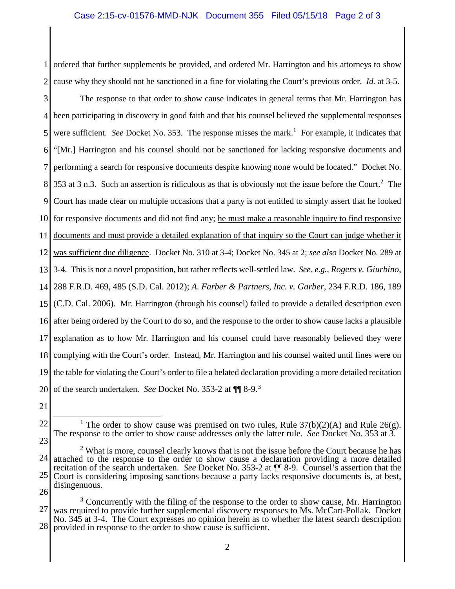1 2 ordered that further supplements be provided, and ordered Mr. Harrington and his attorneys to show cause why they should not be sanctioned in a fine for violating the Court's previous order. *Id.* at 3-5.

3 4 5 6 7 8 9 10 11 12 13 14 15 16 17 18 19 20 The response to that order to show cause indicates in general terms that Mr. Harrington has been participating in discovery in good faith and that his counsel believed the supplemental responses were sufficient. See Docket No. 353. The response misses the mark.<sup>1</sup> For example, it indicates that "[Mr.] Harrington and his counsel should not be sanctioned for lacking responsive documents and performing a search for responsive documents despite knowing none would be located." Docket No. 353 at 3 n.3. Such an assertion is ridiculous as that is obviously not the issue before the Court.<sup>2</sup> The Court has made clear on multiple occasions that a party is not entitled to simply assert that he looked for responsive documents and did not find any; he must make a reasonable inquiry to find responsive documents and must provide a detailed explanation of that inquiry so the Court can judge whether it was sufficient due diligence. Docket No. 310 at 3-4; Docket No. 345 at 2; *see also* Docket No. 289 at 3-4. This is not a novel proposition, but rather reflects well-settled law. *See, e.g.*, *Rogers v. Giurbino*, 288 F.R.D. 469, 485 (S.D. Cal. 2012); *A. Farber & Partners, Inc. v. Garber*, 234 F.R.D. 186, 189 (C.D. Cal. 2006). Mr. Harrington (through his counsel) failed to provide a detailed description even after being ordered by the Court to do so, and the response to the order to show cause lacks a plausible explanation as to how Mr. Harrington and his counsel could have reasonably believed they were complying with the Court's order. Instead, Mr. Harrington and his counsel waited until fines were on the table for violating the Court's order to file a belated declaration providing a more detailed recitation of the search undertaken. *See* Docket No. 353-2 at ¶¶ 8-9.<sup>3</sup>

21

22

23

<sup>&</sup>lt;sup>1</sup> The order to show cause was premised on two rules, Rule  $37(b)(2)(A)$  and Rule 26(g). The response to the order to show cause addresses only the latter rule. *See* Docket No. 353 at 3.

<sup>24</sup> 25 26  $2<sup>2</sup>$  What is more, counsel clearly knows that is not the issue before the Court because he has attached to the response to the order to show cause a declaration providing a more detailed recitation of the search undertaken. *See* Docket No. 353-2 at ¶¶ 8-9. Counsel's assertion that the Court is considering imposing sanctions because a party lacks responsive documents is, at best, disingenuous.

<sup>27</sup> 28  $3$  Concurrently with the filing of the response to the order to show cause, Mr. Harrington was required to provide further supplemental discovery responses to Ms. McCart-Pollak. Docket No. 345 at 3-4. The Court expresses no opinion herein as to whether the latest search description provided in response to the order to show cause is sufficient.